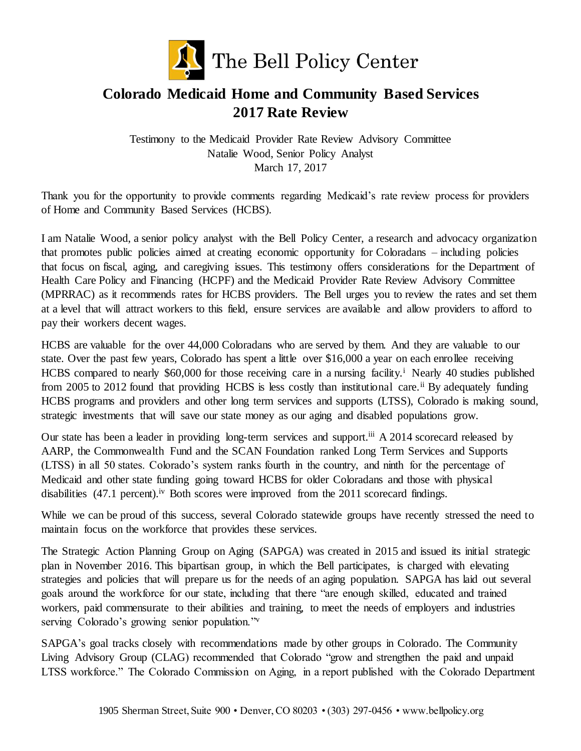

## **Colorado Medicaid Home and Community Based Services 2017 Rate Review**

Testimony to the Medicaid Provider Rate Review Advisory Committee Natalie Wood, Senior Policy Analyst March 17, 2017

Thank you for the opportunity to provide comments regarding Medicaid's rate review process for providers of Home and Community Based Services (HCBS).

I am Natalie Wood, a senior policy analyst with the Bell Policy Center, a research and advocacy organization that promotes public policies aimed at creating economic opportunity for Coloradans – including policies that focus on fiscal, aging, and caregiving issues. This testimony offers considerations for the Department of Health Care Policy and Financing (HCPF) and the Medicaid Provider Rate Review Advisory Committee (MPRRAC) as it recommends rates for HCBS providers. The Bell urges you to review the rates and set them at a level that will attract workers to this field, ensure services are available and allow providers to afford to pay their workers decent wages.

HCBS are valuable for the over 44,000 Coloradans who are served by them. And they are valuable to our state. Over the past few years, Colorado has spent a little over \$16,000 a year on each enrollee receiving HCBS compared to nearly \$60,000 for those receiving care in a nursing facility.<sup>i</sup> Nearly 40 studies published from 2005 to 2012 found that providing HCBS is less costly than institutional care.<sup>ii</sup> By adequately funding HCBS programs and providers and other long term services and supports (LTSS), Colorado is making sound, strategic investments that will save our state money as our aging and disabled populations grow.

Our state has been a leader in providing long-term services and support.<sup>iii</sup> A 2014 scorecard released by AARP, the Commonwealth Fund and the SCAN Foundation ranked Long Term Services and Supports (LTSS) in all 50 states. Colorado's system ranks fourth in the country, and ninth for the percentage of Medicaid and other state funding going toward HCBS for older Coloradans and those with physical disabilities (47.1 percent).<sup>iv</sup> Both scores were improved from the 2011 scorecard findings.

While we can be proud of this success, several Colorado statewide groups have recently stressed the need to maintain focus on the workforce that provides these services.

The Strategic Action Planning Group on Aging (SAPGA) was created in 2015 and issued its initial strategic plan in November 2016. This bipartisan group, in which the Bell participates, is charged with elevating strategies and policies that will prepare us for the needs of an aging population. SAPGA has laid out several goals around the workforce for our state, including that there "are enough skilled, educated and trained workers, paid commensurate to their abilities and training, to meet the needs of employers and industries serving Colorado's growing senior population."<sup>v</sup>

SAPGA's goal tracks closely with recommendations made by other groups in Colorado. The Community Living Advisory Group (CLAG) recommended that Colorado "grow and strengthen the paid and unpaid LTSS workforce." The Colorado Commission on Aging, in a report published with the Colorado Department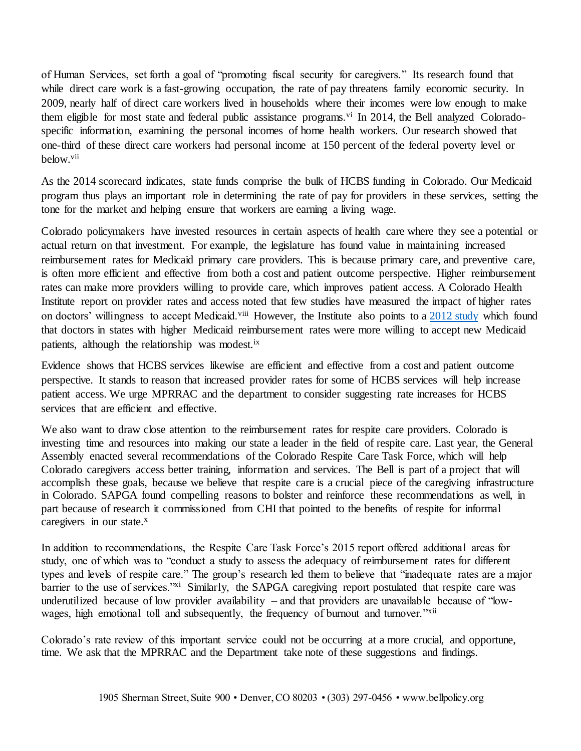of Human Services, set forth a goal of "promoting fiscal security for caregivers." Its research found that while direct care work is a fast-growing occupation, the rate of pay threatens family economic security. In 2009, nearly half of direct care workers lived in households where their incomes were low enough to make them eligible for most state and federal public assistance programs.<sup> $vi$ </sup> In 2014, the Bell analyzed Coloradospecific information, examining the personal incomes of home health workers. Our research showed that one-third of these direct care workers had personal income at 150 percent of the federal poverty level or below.vii

As the 2014 scorecard indicates, state funds comprise the bulk of HCBS funding in Colorado. Our Medicaid program thus plays an important role in determining the rate of pay for providers in these services, setting the tone for the market and helping ensure that workers are earning a living wage.

Colorado policymakers have invested resources in certain aspects of health care where they see a potential or actual return on that investment. For example, the legislature has found value in maintaining increased reimbursement rates for Medicaid primary care providers. This is because primary care, and preventive care, is often more efficient and effective from both a cost and patient outcome perspective. Higher reimbursement rates can make more providers willing to provide care, which improves patient access. A Colorado Health Institute report on provider rates and access noted that few studies have measured the impact of higher rates on doctors' willingness to accept Medicaid.<sup>viii</sup> However, the Institute also points to [a 2012 study](http://content.healthaffairs.org/content/31/8/1673.abstract) which found that doctors in states with higher Medicaid reimbursement rates were more willing to accept new Medicaid patients, although the relationship was modest.ix

Evidence shows that HCBS services likewise are efficient and effective from a cost and patient outcome perspective. It stands to reason that increased provider rates for some of HCBS services will help increase patient access. We urge MPRRAC and the department to consider suggesting rate increases for HCBS services that are efficient and effective.

We also want to draw close attention to the reimbursement rates for respite care providers. Colorado is investing time and resources into making our state a leader in the field of respite care. Last year, the General Assembly enacted several recommendations of the Colorado Respite Care Task Force, which will help Colorado caregivers access better training, information and services. The Bell is part of a project that will accomplish these goals, because we believe that respite care is a crucial piece of the caregiving infrastructure in Colorado. SAPGA found compelling reasons to bolster and reinforce these recommendations as well, in part because of research it commissioned from CHI that pointed to the benefits of respite for informal caregivers in our state. $x$ 

In addition to recommendations, the Respite Care Task Force's 2015 report offered additional areas for study, one of which was to "conduct a study to assess the adequacy of reimbursement rates for different types and levels of respite care." The group's research led them to believe that "inadequate rates are a major barrier to the use of services."xi Similarly, the SAPGA caregiving report postulated that respite care was underutilized because of low provider availability – and that providers are unavailable because of "lowwages, high emotional toll and subsequently, the frequency of burnout and turnover."<sup>xii</sup>

Colorado's rate review of this important service could not be occurring at a more crucial, and opportune, time. We ask that the MPRRAC and the Department take note of these suggestions and findings.